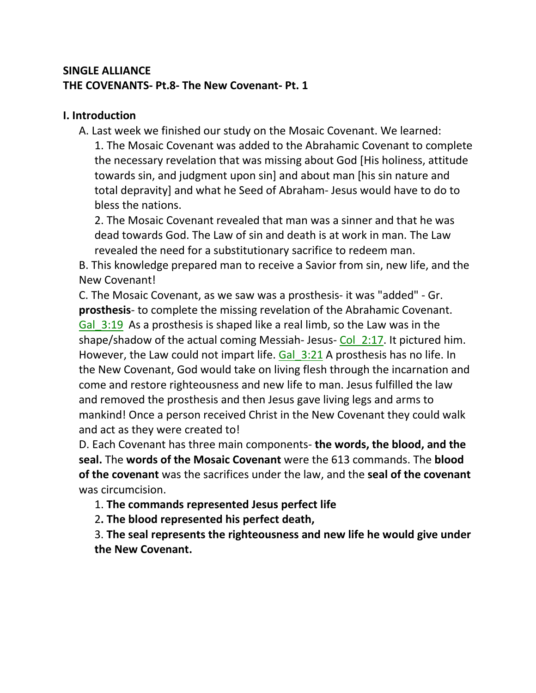## **SINGLE ALLIANCE THE COVENANTS- Pt.8- The New Covenant- Pt. 1**

#### **I. Introduction**

A. Last week we finished our study on the Mosaic Covenant. We learned: 1. The Mosaic Covenant was added to the Abrahamic Covenant to complete the necessary revelation that was missing about God [His holiness, attitude towards sin, and judgment upon sin] and about man [his sin nature and total depravity] and what he Seed of Abraham- Jesus would have to do to bless the nations.

2. The Mosaic Covenant revealed that man was a sinner and that he was dead towards God. The Law of sin and death is at work in man. The Law revealed the need for a substitutionary sacrifice to redeem man.

B. This knowledge prepared man to receive a Savior from sin, new life, and the New Covenant!

C. The Mosaic Covenant, as we saw was a prosthesis- it was "added" - Gr. **prosthesis**- to complete the missing revelation of the Abrahamic Covenant. Gal 3:19 As a prosthesis is shaped like a real limb, so the Law was in the shape/shadow of the actual coming Messiah-Jesus- Col  $2:17$ . It pictured him. However, the Law could not impart life. Gal 3:21 A prosthesis has no life. In the New Covenant, God would take on living flesh through the incarnation and come and restore righteousness and new life to man. Jesus fulfilled the law and removed the prosthesis and then Jesus gave living legs and arms to mankind! Once a person received Christ in the New Covenant they could walk and act as they were created to!

D. Each Covenant has three main components- **the words, the blood, and the seal.** The **words of the Mosaic Covenant** were the 613 commands. The **blood of the covenant** was the sacrifices under the law, and the **seal of the covenant**  was circumcision.

1. **The commands represented Jesus perfect life**

2**. The blood represented his perfect death,** 

3. **The seal represents the righteousness and new life he would give under the New Covenant.**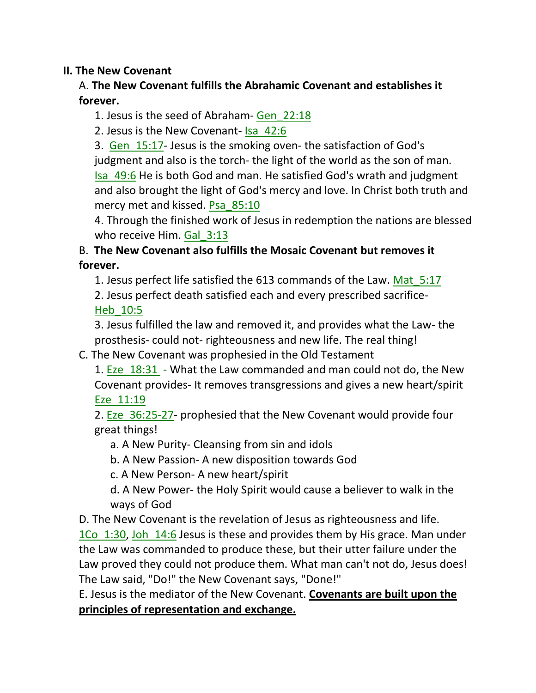#### **II. The New Covenant**

### A. **The New Covenant fulfills the Abrahamic Covenant and establishes it forever.**

1. Jesus is the seed of Abraham- Gen\_22:18

2. Jesus is the New Covenant- Isa\_42:6

3. Gen\_15:17- Jesus is the smoking oven- the satisfaction of God's judgment and also is the torch- the light of the world as the son of man. Isa\_49:6 He is both God and man. He satisfied God's wrath and judgment and also brought the light of God's mercy and love. In Christ both truth and mercy met and kissed. Psa\_85:10

4. Through the finished work of Jesus in redemption the nations are blessed who receive Him. Gal 3:13

## B. **The New Covenant also fulfills the Mosaic Covenant but removes it forever.**

1. Jesus perfect life satisfied the 613 commands of the Law. Mat\_5:17 2. Jesus perfect death satisfied each and every prescribed sacrifice-Heb\_10:5

3. Jesus fulfilled the law and removed it, and provides what the Law- the prosthesis- could not- righteousness and new life. The real thing!

C. The New Covenant was prophesied in the Old Testament

1. Eze 18:31 - What the Law commanded and man could not do, the New Covenant provides- It removes transgressions and gives a new heart/spirit Eze\_11:19

2. Eze 36:25-27- prophesied that the New Covenant would provide four great things!

a. A New Purity- Cleansing from sin and idols

b. A New Passion- A new disposition towards God

c. A New Person- A new heart/spirit

d. A New Power- the Holy Spirit would cause a believer to walk in the ways of God

D. The New Covenant is the revelation of Jesus as righteousness and life.

1Co 1:30, Joh 14:6 Jesus is these and provides them by His grace. Man under the Law was commanded to produce these, but their utter failure under the Law proved they could not produce them. What man can't not do, Jesus does! The Law said, "Do!" the New Covenant says, "Done!"

E. Jesus is the mediator of the New Covenant. **Covenants are built upon the principles of representation and exchange.**